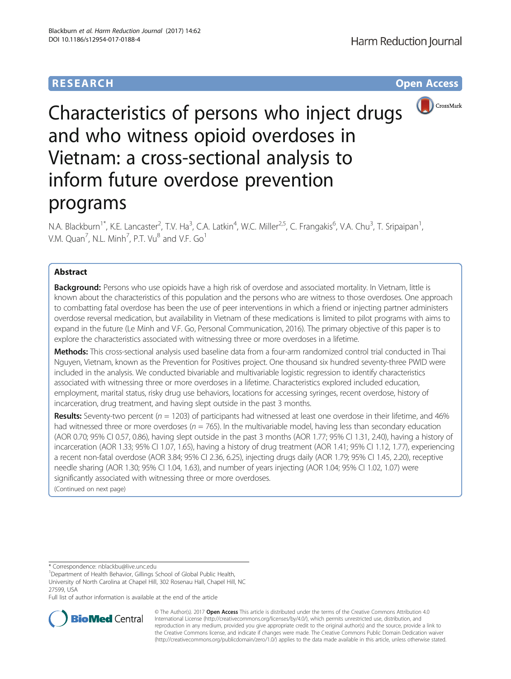# **RESEARCH CHE Open Access**



Characteristics of persons who inject drugs and who witness opioid overdoses in Vietnam: a cross-sectional analysis to inform future overdose prevention programs

N.A. Blackburn<sup>1\*</sup>, K.E. Lancaster<sup>2</sup>, T.V. Ha<sup>3</sup>, C.A. Latkin<sup>4</sup>, W.C. Miller<sup>2,5</sup>, C. Frangakis<sup>6</sup>, V.A. Chu<sup>3</sup>, T. Sripaipan<sup>1</sup> , V.M. Quan<sup>7</sup>, N.L. Minh<sup>7</sup>, P.T. Vu $^8$  and V.F. Go<sup>1</sup>

## Abstract

Background: Persons who use opioids have a high risk of overdose and associated mortality. In Vietnam, little is known about the characteristics of this population and the persons who are witness to those overdoses. One approach to combatting fatal overdose has been the use of peer interventions in which a friend or injecting partner administers overdose reversal medication, but availability in Vietnam of these medications is limited to pilot programs with aims to expand in the future (Le Minh and V.F. Go, Personal Communication, 2016). The primary objective of this paper is to explore the characteristics associated with witnessing three or more overdoses in a lifetime.

Methods: This cross-sectional analysis used baseline data from a four-arm randomized control trial conducted in Thai Nguyen, Vietnam, known as the Prevention for Positives project. One thousand six hundred seventy-three PWID were included in the analysis. We conducted bivariable and multivariable logistic regression to identify characteristics associated with witnessing three or more overdoses in a lifetime. Characteristics explored included education, employment, marital status, risky drug use behaviors, locations for accessing syringes, recent overdose, history of incarceration, drug treatment, and having slept outside in the past 3 months.

Results: Seventy-two percent ( $n = 1203$ ) of participants had witnessed at least one overdose in their lifetime, and 46% had witnessed three or more overdoses ( $n = 765$ ). In the multivariable model, having less than secondary education (AOR 0.70; 95% CI 0.57, 0.86), having slept outside in the past 3 months (AOR 1.77; 95% CI 1.31, 2.40), having a history of incarceration (AOR 1.33; 95% CI 1.07, 1.65), having a history of drug treatment (AOR 1.41; 95% CI 1.12, 1.77), experiencing a recent non-fatal overdose (AOR 3.84; 95% CI 2.36, 6.25), injecting drugs daily (AOR 1.79; 95% CI 1.45, 2.20), receptive needle sharing (AOR 1.30; 95% CI 1.04, 1.63), and number of years injecting (AOR 1.04; 95% CI 1.02, 1.07) were significantly associated with witnessing three or more overdoses.

(Continued on next page)

\* Correspondence: [nblackbu@live.unc.edu](mailto:nblackbu@live.unc.edu) <sup>1</sup>

<sup>1</sup>Department of Health Behavior, Gillings School of Global Public Health, University of North Carolina at Chapel Hill, 302 Rosenau Hall, Chapel Hill, NC

27599, USA

Full list of author information is available at the end of the article



© The Author(s). 2017 **Open Access** This article is distributed under the terms of the Creative Commons Attribution 4.0 International License [\(http://creativecommons.org/licenses/by/4.0/](http://creativecommons.org/licenses/by/4.0/)), which permits unrestricted use, distribution, and reproduction in any medium, provided you give appropriate credit to the original author(s) and the source, provide a link to the Creative Commons license, and indicate if changes were made. The Creative Commons Public Domain Dedication waiver [\(http://creativecommons.org/publicdomain/zero/1.0/](http://creativecommons.org/publicdomain/zero/1.0/)) applies to the data made available in this article, unless otherwise stated.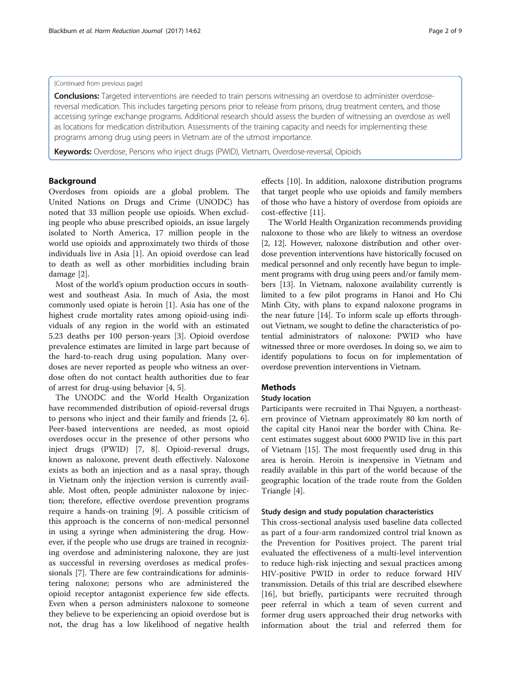## (Continued from previous page)

**Conclusions:** Targeted interventions are needed to train persons witnessing an overdose to administer overdosereversal medication. This includes targeting persons prior to release from prisons, drug treatment centers, and those accessing syringe exchange programs. Additional research should assess the burden of witnessing an overdose as well as locations for medication distribution. Assessments of the training capacity and needs for implementing these programs among drug using peers in Vietnam are of the utmost importance.

Keywords: Overdose, Persons who inject drugs (PWID), Vietnam, Overdose-reversal, Opioids

## Background

Overdoses from opioids are a global problem. The United Nations on Drugs and Crime (UNODC) has noted that 33 million people use opioids. When excluding people who abuse prescribed opioids, an issue largely isolated to North America, 17 million people in the world use opioids and approximately two thirds of those individuals live in Asia [[1\]](#page-7-0). An opioid overdose can lead to death as well as other morbidities including brain damage [\[2](#page-7-0)].

Most of the world's opium production occurs in southwest and southeast Asia. In much of Asia, the most commonly used opiate is heroin [\[1](#page-7-0)]. Asia has one of the highest crude mortality rates among opioid-using individuals of any region in the world with an estimated 5.23 deaths per 100 person-years [\[3](#page-7-0)]. Opioid overdose prevalence estimates are limited in large part because of the hard-to-reach drug using population. Many overdoses are never reported as people who witness an overdose often do not contact health authorities due to fear of arrest for drug-using behavior [[4](#page-7-0), [5](#page-7-0)].

The UNODC and the World Health Organization have recommended distribution of opioid-reversal drugs to persons who inject and their family and friends [\[2, 6](#page-7-0)]. Peer-based interventions are needed, as most opioid overdoses occur in the presence of other persons who inject drugs (PWID) [\[7, 8\]](#page-7-0). Opioid-reversal drugs, known as naloxone, prevent death effectively. Naloxone exists as both an injection and as a nasal spray, though in Vietnam only the injection version is currently available. Most often, people administer naloxone by injection; therefore, effective overdose prevention programs require a hands-on training [[9\]](#page-7-0). A possible criticism of this approach is the concerns of non-medical personnel in using a syringe when administering the drug. However, if the people who use drugs are trained in recognizing overdose and administering naloxone, they are just as successful in reversing overdoses as medical professionals [[7\]](#page-7-0). There are few contraindications for administering naloxone; persons who are administered the opioid receptor antagonist experience few side effects. Even when a person administers naloxone to someone they believe to be experiencing an opioid overdose but is not, the drug has a low likelihood of negative health

effects [[10](#page-7-0)]. In addition, naloxone distribution programs that target people who use opioids and family members of those who have a history of overdose from opioids are cost-effective [\[11](#page-7-0)].

The World Health Organization recommends providing naloxone to those who are likely to witness an overdose [[2, 12\]](#page-7-0). However, naloxone distribution and other overdose prevention interventions have historically focused on medical personnel and only recently have begun to implement programs with drug using peers and/or family members [\[13\]](#page-7-0). In Vietnam, naloxone availability currently is limited to a few pilot programs in Hanoi and Ho Chi Minh City, with plans to expand naloxone programs in the near future [\[14\]](#page-7-0). To inform scale up efforts throughout Vietnam, we sought to define the characteristics of potential administrators of naloxone: PWID who have witnessed three or more overdoses. In doing so, we aim to identify populations to focus on for implementation of overdose prevention interventions in Vietnam.

## Methods

## Study location

Participants were recruited in Thai Nguyen, a northeastern province of Vietnam approximately 80 km north of the capital city Hanoi near the border with China. Recent estimates suggest about 6000 PWID live in this part of Vietnam [\[15](#page-7-0)]. The most frequently used drug in this area is heroin. Heroin is inexpensive in Vietnam and readily available in this part of the world because of the geographic location of the trade route from the Golden Triangle [\[4\]](#page-7-0).

#### Study design and study population characteristics

This cross-sectional analysis used baseline data collected as part of a four-arm randomized control trial known as the Prevention for Positives project. The parent trial evaluated the effectiveness of a multi-level intervention to reduce high-risk injecting and sexual practices among HIV-positive PWID in order to reduce forward HIV transmission. Details of this trial are described elsewhere [[16\]](#page-7-0), but briefly, participants were recruited through peer referral in which a team of seven current and former drug users approached their drug networks with information about the trial and referred them for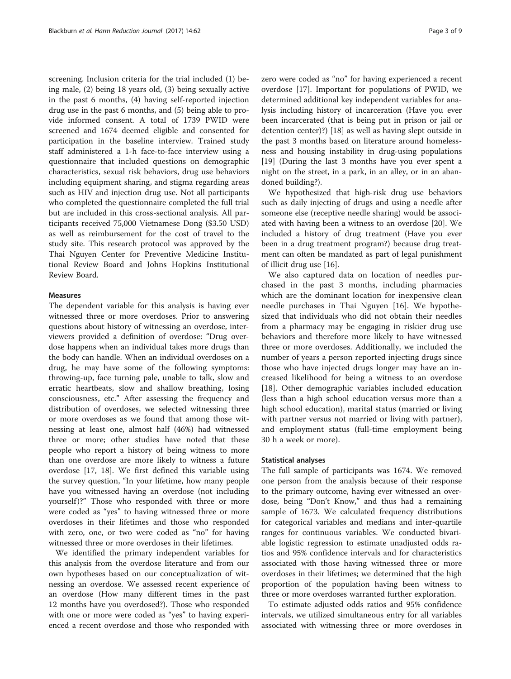screening. Inclusion criteria for the trial included (1) being male, (2) being 18 years old, (3) being sexually active in the past 6 months, (4) having self-reported injection drug use in the past 6 months, and (5) being able to provide informed consent. A total of 1739 PWID were screened and 1674 deemed eligible and consented for participation in the baseline interview. Trained study staff administered a 1-h face-to-face interview using a questionnaire that included questions on demographic characteristics, sexual risk behaviors, drug use behaviors including equipment sharing, and stigma regarding areas such as HIV and injection drug use. Not all participants who completed the questionnaire completed the full trial but are included in this cross-sectional analysis. All participants received 75,000 Vietnamese Dong (\$3.50 USD) as well as reimbursement for the cost of travel to the study site. This research protocol was approved by the Thai Nguyen Center for Preventive Medicine Institutional Review Board and Johns Hopkins Institutional Review Board.

## Measures

The dependent variable for this analysis is having ever witnessed three or more overdoses. Prior to answering questions about history of witnessing an overdose, interviewers provided a definition of overdose: "Drug overdose happens when an individual takes more drugs than the body can handle. When an individual overdoses on a drug, he may have some of the following symptoms: throwing-up, face turning pale, unable to talk, slow and erratic heartbeats, slow and shallow breathing, losing consciousness, etc." After assessing the frequency and distribution of overdoses, we selected witnessing three or more overdoses as we found that among those witnessing at least one, almost half (46%) had witnessed three or more; other studies have noted that these people who report a history of being witness to more than one overdose are more likely to witness a future overdose [[17, 18\]](#page-7-0). We first defined this variable using the survey question, "In your lifetime, how many people have you witnessed having an overdose (not including yourself)?" Those who responded with three or more were coded as "yes" to having witnessed three or more overdoses in their lifetimes and those who responded with zero, one, or two were coded as "no" for having witnessed three or more overdoses in their lifetimes.

We identified the primary independent variables for this analysis from the overdose literature and from our own hypotheses based on our conceptualization of witnessing an overdose. We assessed recent experience of an overdose (How many different times in the past 12 months have you overdosed?). Those who responded with one or more were coded as "yes" to having experienced a recent overdose and those who responded with

zero were coded as "no" for having experienced a recent overdose [[17](#page-7-0)]. Important for populations of PWID, we determined additional key independent variables for analysis including history of incarceration (Have you ever been incarcerated (that is being put in prison or jail or detention center)?) [\[18](#page-7-0)] as well as having slept outside in the past 3 months based on literature around homelessness and housing instability in drug-using populations [[19\]](#page-7-0) (During the last 3 months have you ever spent a night on the street, in a park, in an alley, or in an abandoned building?).

We hypothesized that high-risk drug use behaviors such as daily injecting of drugs and using a needle after someone else (receptive needle sharing) would be associated with having been a witness to an overdose [[20\]](#page-7-0). We included a history of drug treatment (Have you ever been in a drug treatment program?) because drug treatment can often be mandated as part of legal punishment of illicit drug use [\[16](#page-7-0)].

We also captured data on location of needles purchased in the past 3 months, including pharmacies which are the dominant location for inexpensive clean needle purchases in Thai Nguyen [\[16](#page-7-0)]. We hypothesized that individuals who did not obtain their needles from a pharmacy may be engaging in riskier drug use behaviors and therefore more likely to have witnessed three or more overdoses. Additionally, we included the number of years a person reported injecting drugs since those who have injected drugs longer may have an increased likelihood for being a witness to an overdose [[18](#page-7-0)]. Other demographic variables included education (less than a high school education versus more than a high school education), marital status (married or living with partner versus not married or living with partner), and employment status (full-time employment being 30 h a week or more).

#### Statistical analyses

The full sample of participants was 1674. We removed one person from the analysis because of their response to the primary outcome, having ever witnessed an overdose, being "Don't Know," and thus had a remaining sample of 1673. We calculated frequency distributions for categorical variables and medians and inter-quartile ranges for continuous variables. We conducted bivariable logistic regression to estimate unadjusted odds ratios and 95% confidence intervals and for characteristics associated with those having witnessed three or more overdoses in their lifetimes; we determined that the high proportion of the population having been witness to three or more overdoses warranted further exploration.

To estimate adjusted odds ratios and 95% confidence intervals, we utilized simultaneous entry for all variables associated with witnessing three or more overdoses in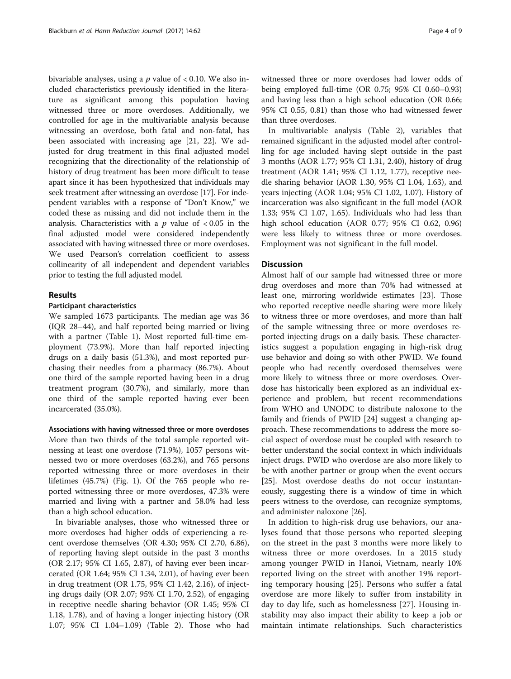bivariable analyses, using a  $p$  value of < 0.10. We also included characteristics previously identified in the literature as significant among this population having witnessed three or more overdoses. Additionally, we controlled for age in the multivariable analysis because witnessing an overdose, both fatal and non-fatal, has been associated with increasing age [[21, 22](#page-7-0)]. We adjusted for drug treatment in this final adjusted model recognizing that the directionality of the relationship of history of drug treatment has been more difficult to tease apart since it has been hypothesized that individuals may seek treatment after witnessing an overdose [\[17\]](#page-7-0). For independent variables with a response of "Don't Know," we coded these as missing and did not include them in the analysis. Characteristics with a  $p$  value of  $<0.05$  in the final adjusted model were considered independently associated with having witnessed three or more overdoses. We used Pearson's correlation coefficient to assess collinearity of all independent and dependent variables prior to testing the full adjusted model.

## **Results**

## Participant characteristics

We sampled 1673 participants. The median age was 36 (IQR 28–44), and half reported being married or living with a partner (Table [1\)](#page-4-0). Most reported full-time employment (73.9%). More than half reported injecting drugs on a daily basis (51.3%), and most reported purchasing their needles from a pharmacy (86.7%). About one third of the sample reported having been in a drug treatment program (30.7%), and similarly, more than one third of the sample reported having ever been incarcerated (35.0%).

Associations with having witnessed three or more overdoses More than two thirds of the total sample reported witnessing at least one overdose (71.9%), 1057 persons witnessed two or more overdoses (63.2%), and 765 persons reported witnessing three or more overdoses in their lifetimes (45.7%) (Fig. [1\)](#page-5-0). Of the 765 people who reported witnessing three or more overdoses, 47.3% were married and living with a partner and 58.0% had less than a high school education.

In bivariable analyses, those who witnessed three or more overdoses had higher odds of experiencing a recent overdose themselves (OR 4.30; 95% CI 2.70, 6.86), of reporting having slept outside in the past 3 months (OR 2.17; 95% CI 1.65, 2.87), of having ever been incarcerated (OR 1.64; 95% CI 1.34, 2.01), of having ever been in drug treatment (OR 1.75, 95% CI 1.42, 2.16), of injecting drugs daily (OR 2.07; 95% CI 1.70, 2.52), of engaging in receptive needle sharing behavior (OR 1.45; 95% CI 1.18, 1.78), and of having a longer injecting history (OR 1.07; 95% CI 1.04–1.09) (Table [2](#page-6-0)). Those who had

witnessed three or more overdoses had lower odds of being employed full-time (OR 0.75; 95% CI 0.60–0.93) and having less than a high school education (OR 0.66; 95% CI 0.55, 0.81) than those who had witnessed fewer than three overdoses.

In multivariable analysis (Table [2\)](#page-6-0), variables that remained significant in the adjusted model after controlling for age included having slept outside in the past 3 months (AOR 1.77; 95% CI 1.31, 2.40), history of drug treatment (AOR 1.41; 95% CI 1.12, 1.77), receptive needle sharing behavior (AOR 1.30, 95% CI 1.04, 1.63), and years injecting (AOR 1.04; 95% CI 1.02, 1.07). History of incarceration was also significant in the full model (AOR 1.33; 95% CI 1.07, 1.65). Individuals who had less than high school education (AOR 0.77; 95% CI 0.62, 0.96) were less likely to witness three or more overdoses. Employment was not significant in the full model.

## **Discussion**

Almost half of our sample had witnessed three or more drug overdoses and more than 70% had witnessed at least one, mirroring worldwide estimates [[23](#page-7-0)]. Those who reported receptive needle sharing were more likely to witness three or more overdoses, and more than half of the sample witnessing three or more overdoses reported injecting drugs on a daily basis. These characteristics suggest a population engaging in high-risk drug use behavior and doing so with other PWID. We found people who had recently overdosed themselves were more likely to witness three or more overdoses. Overdose has historically been explored as an individual experience and problem, but recent recommendations from WHO and UNODC to distribute naloxone to the family and friends of PWID [\[24\]](#page-7-0) suggest a changing approach. These recommendations to address the more social aspect of overdose must be coupled with research to better understand the social context in which individuals inject drugs. PWID who overdose are also more likely to be with another partner or group when the event occurs [[25\]](#page-7-0). Most overdose deaths do not occur instantaneously, suggesting there is a window of time in which peers witness to the overdose, can recognize symptoms, and administer naloxone [\[26](#page-7-0)].

In addition to high-risk drug use behaviors, our analyses found that those persons who reported sleeping on the street in the past 3 months were more likely to witness three or more overdoses. In a 2015 study among younger PWID in Hanoi, Vietnam, nearly 10% reported living on the street with another 19% reporting temporary housing [\[25](#page-7-0)]. Persons who suffer a fatal overdose are more likely to suffer from instability in day to day life, such as homelessness [[27](#page-7-0)]. Housing instability may also impact their ability to keep a job or maintain intimate relationships. Such characteristics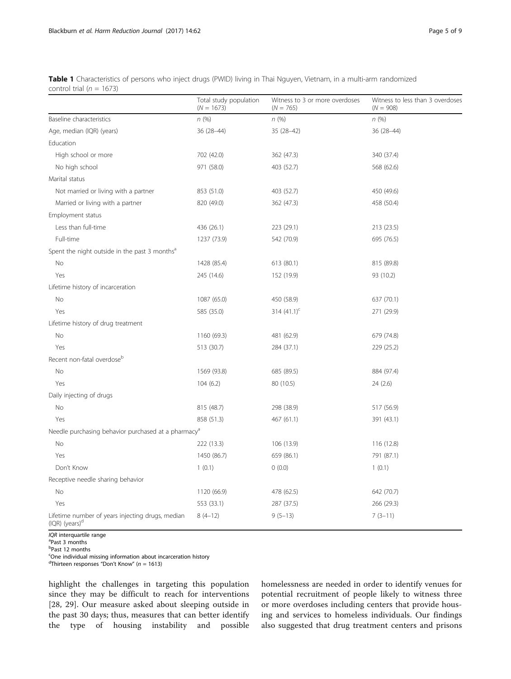<span id="page-4-0"></span>

| Table 1 Characteristics of persons who inject drugs (PWID) living in Thai Nguyen, Vietnam, in a multi-arm randomized |  |  |  |  |  |
|----------------------------------------------------------------------------------------------------------------------|--|--|--|--|--|
| control trial ( $n = 1673$ )                                                                                         |  |  |  |  |  |

|                                                                                | Total study population<br>$(N = 1673)$ | Witness to 3 or more overdoses<br>$(N = 765)$ | Witness to less than 3 overdoses<br>$(N = 908)$ |
|--------------------------------------------------------------------------------|----------------------------------------|-----------------------------------------------|-------------------------------------------------|
| Baseline characteristics                                                       | n(%)                                   | n(%)                                          | n(%)                                            |
| Age, median (IQR) (years)                                                      | 36 (28-44)                             | 35 (28-42)                                    | 36 (28-44)                                      |
| Education                                                                      |                                        |                                               |                                                 |
| High school or more                                                            | 702 (42.0)                             | 362 (47.3)                                    | 340 (37.4)                                      |
| No high school                                                                 | 971 (58.0)                             | 403 (52.7)                                    | 568 (62.6)                                      |
| Marital status                                                                 |                                        |                                               |                                                 |
| Not married or living with a partner                                           | 853 (51.0)                             | 403 (52.7)                                    | 450 (49.6)                                      |
| Married or living with a partner                                               | 820 (49.0)                             | 362 (47.3)                                    | 458 (50.4)                                      |
| Employment status                                                              |                                        |                                               |                                                 |
| Less than full-time                                                            | 436 (26.1)                             | 223 (29.1)                                    | 213 (23.5)                                      |
| Full-time                                                                      | 1237 (73.9)                            | 542 (70.9)                                    | 695 (76.5)                                      |
| Spent the night outside in the past 3 months <sup>a</sup>                      |                                        |                                               |                                                 |
| No                                                                             | 1428 (85.4)                            | 613 (80.1)                                    | 815 (89.8)                                      |
| Yes                                                                            | 245 (14.6)                             | 152 (19.9)                                    | 93 (10.2)                                       |
| Lifetime history of incarceration                                              |                                        |                                               |                                                 |
| No                                                                             | 1087 (65.0)                            | 450 (58.9)                                    | 637 (70.1)                                      |
| Yes                                                                            | 585 (35.0)                             | 314 $(41.1)^c$                                | 271 (29.9)                                      |
| Lifetime history of drug treatment                                             |                                        |                                               |                                                 |
| No                                                                             | 1160 (69.3)                            | 481 (62.9)                                    | 679 (74.8)                                      |
| Yes                                                                            | 513 (30.7)                             | 284 (37.1)                                    | 229 (25.2)                                      |
| Recent non-fatal overdose <sup>b</sup>                                         |                                        |                                               |                                                 |
| No                                                                             | 1569 (93.8)                            | 685 (89.5)                                    | 884 (97.4)                                      |
| Yes                                                                            | 104(6.2)                               | 80 (10.5)                                     | 24 (2.6)                                        |
| Daily injecting of drugs                                                       |                                        |                                               |                                                 |
| No                                                                             | 815 (48.7)                             | 298 (38.9)                                    | 517 (56.9)                                      |
| Yes                                                                            | 858 (51.3)                             | 467 (61.1)                                    | 391 (43.1)                                      |
| Needle purchasing behavior purchased at a pharmacy <sup>a</sup>                |                                        |                                               |                                                 |
| No                                                                             | 222 (13.3)                             | 106 (13.9)                                    | 116 (12.8)                                      |
| Yes                                                                            | 1450 (86.7)                            | 659 (86.1)                                    | 791 (87.1)                                      |
| Don't Know                                                                     | 1(0.1)                                 | 0(0.0)                                        | 1(0.1)                                          |
| Receptive needle sharing behavior                                              |                                        |                                               |                                                 |
| No                                                                             | 1120 (66.9)                            | 478 (62.5)                                    | 642 (70.7)                                      |
| Yes                                                                            | 553 (33.1)                             | 287 (37.5)                                    | 266 (29.3)                                      |
| Lifetime number of years injecting drugs, median<br>(IQR) (years) <sup>d</sup> | $8(4-12)$                              | $9(5-13)$                                     | $7(3-11)$                                       |

 $IQR$  interquartile range

Past 3 months

<sup>b</sup>Past 12 months

<sup>c</sup>One individual missing information about incarceration history

 $\text{d}$ Thirteen responses "Don't Know" (n = 1613)

highlight the challenges in targeting this population since they may be difficult to reach for interventions [[28, 29](#page-8-0)]. Our measure asked about sleeping outside in the past 30 days; thus, measures that can better identify the type of housing instability and possible homelessness are needed in order to identify venues for potential recruitment of people likely to witness three or more overdoses including centers that provide housing and services to homeless individuals. Our findings also suggested that drug treatment centers and prisons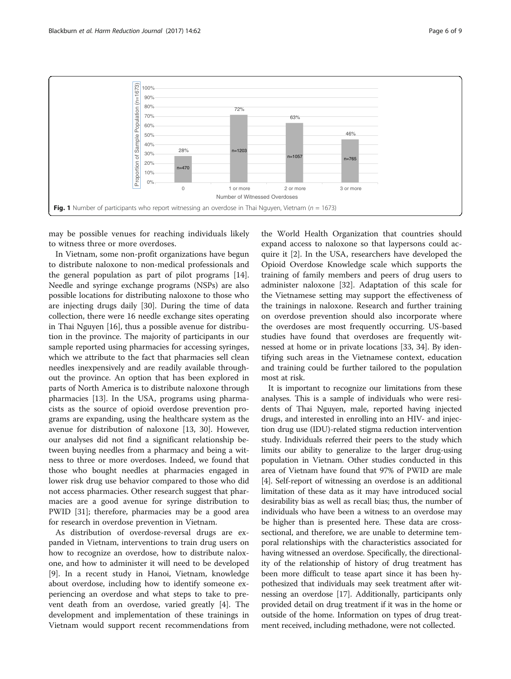<span id="page-5-0"></span>

may be possible venues for reaching individuals likely to witness three or more overdoses.

In Vietnam, some non-profit organizations have begun to distribute naloxone to non-medical professionals and the general population as part of pilot programs [\[14](#page-7-0)]. Needle and syringe exchange programs (NSPs) are also possible locations for distributing naloxone to those who are injecting drugs daily [[30](#page-8-0)]. During the time of data collection, there were 16 needle exchange sites operating in Thai Nguyen [\[16](#page-7-0)], thus a possible avenue for distribution in the province. The majority of participants in our sample reported using pharmacies for accessing syringes, which we attribute to the fact that pharmacies sell clean needles inexpensively and are readily available throughout the province. An option that has been explored in parts of North America is to distribute naloxone through pharmacies [[13](#page-7-0)]. In the USA, programs using pharmacists as the source of opioid overdose prevention programs are expanding, using the healthcare system as the avenue for distribution of naloxone [\[13,](#page-7-0) [30\]](#page-8-0). However, our analyses did not find a significant relationship between buying needles from a pharmacy and being a witness to three or more overdoses. Indeed, we found that those who bought needles at pharmacies engaged in lower risk drug use behavior compared to those who did not access pharmacies. Other research suggest that pharmacies are a good avenue for syringe distribution to PWID [\[31](#page-8-0)]; therefore, pharmacies may be a good area for research in overdose prevention in Vietnam.

As distribution of overdose-reversal drugs are expanded in Vietnam, interventions to train drug users on how to recognize an overdose, how to distribute naloxone, and how to administer it will need to be developed [[9\]](#page-7-0). In a recent study in Hanoi, Vietnam, knowledge about overdose, including how to identify someone experiencing an overdose and what steps to take to prevent death from an overdose, varied greatly [[4\]](#page-7-0). The development and implementation of these trainings in Vietnam would support recent recommendations from

the World Health Organization that countries should expand access to naloxone so that laypersons could acquire it [[2\]](#page-7-0). In the USA, researchers have developed the Opioid Overdose Knowledge scale which supports the training of family members and peers of drug users to administer naloxone [[32](#page-8-0)]. Adaptation of this scale for the Vietnamese setting may support the effectiveness of the trainings in naloxone. Research and further training on overdose prevention should also incorporate where the overdoses are most frequently occurring. US-based studies have found that overdoses are frequently witnessed at home or in private locations [\[33, 34](#page-8-0)]. By identifying such areas in the Vietnamese context, education and training could be further tailored to the population most at risk.

It is important to recognize our limitations from these analyses. This is a sample of individuals who were residents of Thai Nguyen, male, reported having injected drugs, and interested in enrolling into an HIV- and injection drug use (IDU)-related stigma reduction intervention study. Individuals referred their peers to the study which limits our ability to generalize to the larger drug-using population in Vietnam. Other studies conducted in this area of Vietnam have found that 97% of PWID are male [[4\]](#page-7-0). Self-report of witnessing an overdose is an additional limitation of these data as it may have introduced social desirability bias as well as recall bias; thus, the number of individuals who have been a witness to an overdose may be higher than is presented here. These data are crosssectional, and therefore, we are unable to determine temporal relationships with the characteristics associated for having witnessed an overdose. Specifically, the directionality of the relationship of history of drug treatment has been more difficult to tease apart since it has been hypothesized that individuals may seek treatment after witnessing an overdose [\[17](#page-7-0)]. Additionally, participants only provided detail on drug treatment if it was in the home or outside of the home. Information on types of drug treatment received, including methadone, were not collected.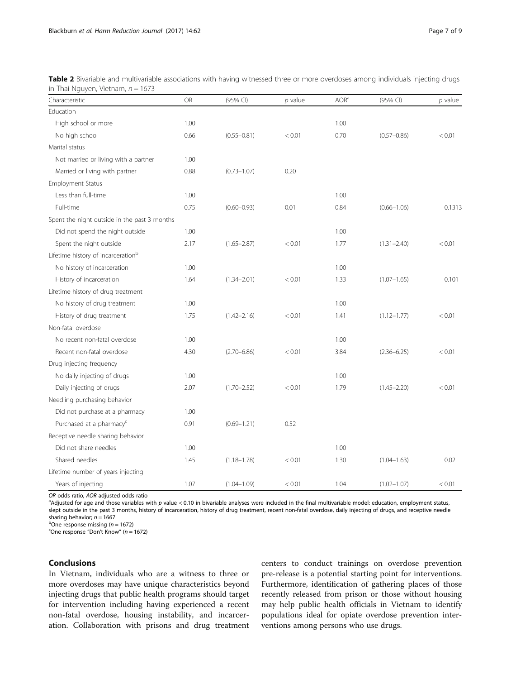| Characteristic                                 | <b>OR</b> | (95% CI)        | $p$ value | AOR <sup>a</sup> | (95% CI)        | $p$ value |
|------------------------------------------------|-----------|-----------------|-----------|------------------|-----------------|-----------|
| Education                                      |           |                 |           |                  |                 |           |
| High school or more                            | 1.00      |                 |           | 1.00             |                 |           |
| No high school                                 | 0.66      | $(0.55 - 0.81)$ | < 0.01    | 0.70             | $(0.57 - 0.86)$ | < 0.01    |
| Marital status                                 |           |                 |           |                  |                 |           |
| Not married or living with a partner           | 1.00      |                 |           |                  |                 |           |
| Married or living with partner                 | 0.88      | $(0.73 - 1.07)$ | 0.20      |                  |                 |           |
| Employment Status                              |           |                 |           |                  |                 |           |
| Less than full-time                            | 1.00      |                 |           | 1.00             |                 |           |
| Full-time                                      | 0.75      | $(0.60 - 0.93)$ | 0.01      | 0.84             | $(0.66 - 1.06)$ | 0.1313    |
| Spent the night outside in the past 3 months   |           |                 |           |                  |                 |           |
| Did not spend the night outside                | 1.00      |                 |           | 1.00             |                 |           |
| Spent the night outside                        | 2.17      | $(1.65 - 2.87)$ | < 0.01    | 1.77             | $(1.31 - 2.40)$ | < 0.01    |
| Lifetime history of incarceration <sup>b</sup> |           |                 |           |                  |                 |           |
| No history of incarceration                    | 1.00      |                 |           | 1.00             |                 |           |
| History of incarceration                       | 1.64      | $(1.34 - 2.01)$ | < 0.01    | 1.33             | $(1.07 - 1.65)$ | 0.101     |
| Lifetime history of drug treatment             |           |                 |           |                  |                 |           |
| No history of drug treatment                   | 1.00      |                 |           | 1.00             |                 |           |
| History of drug treatment                      | 1.75      | $(1.42 - 2.16)$ | < 0.01    | 1.41             | $(1.12 - 1.77)$ | < 0.01    |
| Non-fatal overdose                             |           |                 |           |                  |                 |           |
| No recent non-fatal overdose                   | 1.00      |                 |           | 1.00             |                 |           |
| Recent non-fatal overdose                      | 4.30      | $(2.70 - 6.86)$ | < 0.01    | 3.84             | $(2.36 - 6.25)$ | < 0.01    |
| Drug injecting frequency                       |           |                 |           |                  |                 |           |
| No daily injecting of drugs                    | 1.00      |                 |           | 1.00             |                 |           |
| Daily injecting of drugs                       | 2.07      | $(1.70 - 2.52)$ | < 0.01    | 1.79             | $(1.45 - 2.20)$ | < 0.01    |
| Needling purchasing behavior                   |           |                 |           |                  |                 |           |
| Did not purchase at a pharmacy                 | 1.00      |                 |           |                  |                 |           |
| Purchased at a pharmacy <sup>c</sup>           | 0.91      | $(0.69 - 1.21)$ | 0.52      |                  |                 |           |
| Receptive needle sharing behavior              |           |                 |           |                  |                 |           |
| Did not share needles                          | 1.00      |                 |           | 1.00             |                 |           |
| Shared needles                                 | 1.45      | $(1.18 - 1.78)$ | < 0.01    | 1.30             | $(1.04 - 1.63)$ | 0.02      |
| Lifetime number of years injecting             |           |                 |           |                  |                 |           |
| Years of injecting                             | 1.07      | $(1.04 - 1.09)$ | < 0.01    | 1.04             | $(1.02 - 1.07)$ | < 0.01    |

<span id="page-6-0"></span>

| Table 2 Bivariable and multivariable associations with having witnessed three or more overdoses among individuals injecting drugs |  |  |  |  |  |  |
|-----------------------------------------------------------------------------------------------------------------------------------|--|--|--|--|--|--|
| in Thai Nguyen, Vietnam, $n = 1673$                                                                                               |  |  |  |  |  |  |

OR odds ratio, AOR adjusted odds ratio

<sup>a</sup>Adjusted for age and those variables with p value < 0.10 in bivariable analyses were included in the final multivariable model: education, employment status, slept outside in the past 3 months, history of incarceration, history of drug treatment, recent non-fatal overdose, daily injecting of drugs, and receptive needle sharing behavior;  $n = 1667$ 

 $b$ One response missing ( $n = 1672$ )

<sup>c</sup>One response "Don't Know" ( $n = 1672$ )

## Conclusions

In Vietnam, individuals who are a witness to three or more overdoses may have unique characteristics beyond injecting drugs that public health programs should target for intervention including having experienced a recent non-fatal overdose, housing instability, and incarceration. Collaboration with prisons and drug treatment centers to conduct trainings on overdose prevention pre-release is a potential starting point for interventions. Furthermore, identification of gathering places of those recently released from prison or those without housing may help public health officials in Vietnam to identify populations ideal for opiate overdose prevention interventions among persons who use drugs.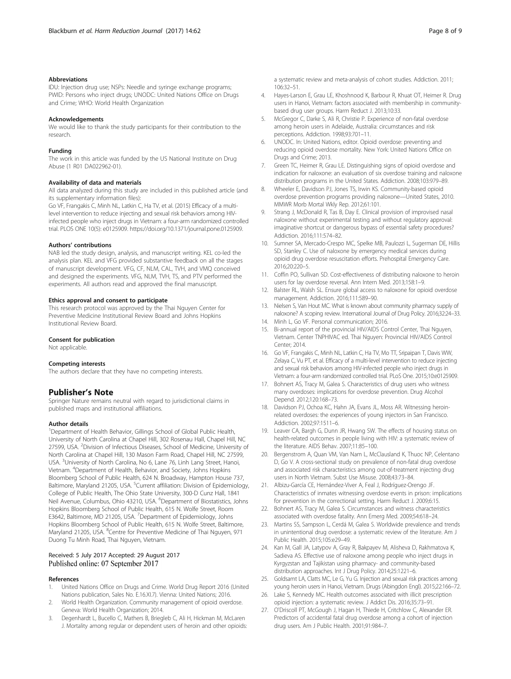#### <span id="page-7-0"></span>Abbreviations

IDU: Injection drug use; NSPs: Needle and syringe exchange programs; PWID: Persons who inject drugs; UNODC: United Nations Office on Drugs and Crime; WHO: World Health Organization

#### Acknowledgements

We would like to thank the study participants for their contribution to the research.

#### Funding

The work in this article was funded by the US National Institute on Drug Abuse (1 R01 DA022962-01).

#### Availability of data and materials

All data analyzed during this study are included in this published article (and its supplementary information files):

Go VF, Frangakis C, Minh NL, Latkin C, Ha TV, et al. (2015) Efficacy of a multilevel intervention to reduce injecting and sexual risk behaviors among HIVinfected people who inject drugs in Vietnam: a four-arm randomized controlled trial. PLOS ONE 10(5): e0125909. [https://doi.org/10.1371/journal.pone.0125909](http://dx.doi.org/10.1371/journal.pone.0125909).

#### Authors' contributions

NAB led the study design, analysis, and manuscript writing. KEL co-led the analysis plan. KEL and VFG provided substantive feedback on all the stages of manuscript development. VFG, CF, NLM, CAL, TVH, and VMQ conceived and designed the experiments. VFG, NLM, TVH, TS, and PTV performed the experiments. All authors read and approved the final manuscript.

#### Ethics approval and consent to participate

This research protocol was approved by the Thai Nguyen Center for Preventive Medicine Institutional Review Board and Johns Hopkins Institutional Review Board.

#### Consent for publication

Not applicable.

#### Competing interests

The authors declare that they have no competing interests.

## Publisher's Note

Springer Nature remains neutral with regard to jurisdictional claims in published maps and institutional affiliations.

#### Author details

<sup>1</sup>Department of Health Behavior, Gillings School of Global Public Health, University of North Carolina at Chapel Hill, 302 Rosenau Hall, Chapel Hill, NC 27599, USA. <sup>2</sup> Division of Infectious Diseases, School of Medicine, University of North Carolina at Chapel Hill, 130 Mason Farm Road, Chapel Hill, NC 27599, USA. <sup>3</sup>University of North Carolina, No 6, Lane 76, Linh Lang Street, Hanoi, Vietnam. <sup>4</sup> Department of Health, Behavior, and Society, Johns Hopkins Bloomberg School of Public Health, 624 N. Broadway, Hampton House 737, Baltimore, Maryland 21205, USA. <sup>5</sup>Current affiliation: Division of Epidemiology, College of Public Health, The Ohio State University, 300-D Cunz Hall, 1841 Neil Avenue, Columbus, Ohio 43210, USA. <sup>6</sup>Department of Biostatistics, Johns Hopkins Bloomberg School of Public Health, 615 N. Wolfe Street, Room E3642, Baltimore, MD 21205, USA. <sup>7</sup>Department of Epidemiology, Johns Hopkins Bloomberg School of Public Health, 615 N. Wolfe Street, Baltimore, Maryland 21205, USA. <sup>8</sup>Centre for Preventive Medicine of Thai Nguyen, 971 Duong Tu Minh Road, Thai Nguyen, Vietnam.

## Received: 5 July 2017 Accepted: 29 August 2017 Published online: 07 September 2017

## References

- 1. United Nations Office on Drugs and Crime. World Drug Report 2016 (United Nations publication, Sales No. E.16.XI.7). Vienna: United Nations; 2016.
- 2. World Health Organization. Community management of opioid overdose. Geneva: World Health Organization; 2014.
- 3. Degenhardt L, Bucello C, Mathers B, Briegleb C, Ali H, Hickman M, McLaren J. Mortality among regular or dependent users of heroin and other opioids:

a systematic review and meta-analysis of cohort studies. Addiction. 2011; 106:32–51.

- 4. Hayes-Larson E, Grau LE, Khoshnood K, Barbour R, Khuat OT, Heimer R. Drug users in Hanoi, Vietnam: factors associated with membership in communitybased drug user groups. Harm Reduct J. 2013;10:33.
- 5. McGregor C, Darke S, Ali R, Christie P. Experience of non-fatal overdose among heroin users in Adelaide, Australia: circumstances and risk perceptions. Addiction. 1998;93:701–11.
- 6. UNODC. In: United Nations, editor. Opioid overdose: preventing and reducing opioid overdose mortality. New York: United Nations Office on Drugs and Crime; 2013.
- 7. Green TC, Heimer R, Grau LE. Distinguishing signs of opioid overdose and indication for naloxone: an evaluation of six overdose training and naloxone distribution programs in the United States. Addiction. 2008;103:979–89.
- 8. Wheeler E, Davidson PJ, Jones TS, Irwin KS. Community-based opioid overdose prevention programs providing naloxone—United States, 2010. MMWR Morb Mortal Wkly Rep. 2012;61:101.
- 9. Strang J, McDonald R, Tas B, Day E. Clinical provision of improvised nasal naloxone without experimental testing and without regulatory approval: imaginative shortcut or dangerous bypass of essential safety procedures? Addiction. 2016;111:574–82.
- 10. Sumner SA, Mercado-Crespo MC, Spelke MB, Paulozzi L, Sugerman DE, Hillis SD, Stanley C. Use of naloxone by emergency medical services during opioid drug overdose resuscitation efforts. Prehospital Emergency Care. 2016;20:220–5.
- 11. Coffin PO, Sullivan SD. Cost-effectiveness of distributing naloxone to heroin users for lay overdose reversal. Ann Intern Med. 2013;158:1–9.
- 12. Balster RL, Walsh SL. Ensure global access to naloxone for opioid overdose management. Addiction. 2016;111:589–90.
- 13. Nielsen S, Van Hout MC. What is known about community pharmacy supply of naloxone? A scoping review. International Journal of Drug Policy. 2016;32:24–33. 14. Minh L, Go VF. Personal communication; 2016.
- 15. Bi-annual report of the provincial HIV/AIDS Control Center, Thai Nguyen, Vietnam. Center TNPHIVAC ed. Thai Nguyen: Provincial HIV/AIDS Control Center; 2014.
- 16. Go VF, Frangakis C, Minh NL, Latkin C, Ha TV, Mo TT, Sripaipan T, Davis WW, Zelaya C, Vu PT, et al. Efficacy of a multi-level intervention to reduce injecting and sexual risk behaviors among HIV-infected people who inject drugs in Vietnam: a four-arm randomized controlled trial. PLoS One. 2015;10:e0125909.
- 17. Bohnert AS, Tracy M, Galea S. Characteristics of drug users who witness many overdoses: implications for overdose prevention. Drug Alcohol Depend. 2012;120:168–73.
- 18. Davidson PJ, Ochoa KC, Hahn JA, Evans JL, Moss AR. Witnessing heroinrelated overdoses: the experiences of young injectors in San Francisco. Addiction. 2002;97:1511–6.
- 19. Leaver CA, Bargh G, Dunn JR, Hwang SW. The effects of housing status on health-related outcomes in people living with HIV: a systematic review of the literature. AIDS Behav. 2007;11:85–100.
- 20. Bergenstrom A, Quan VM, Van Nam L, McClausland K, Thuoc NP, Celentano D, Go V. A cross-sectional study on prevalence of non-fatal drug overdose and associated risk characteristics among out-of-treatment injecting drug users in North Vietnam. Subst Use Misuse. 2008;43:73–84.
- 21. Albizu-García CE, Hernández-Viver A, Feal J, Rodríguez-Orengo JF. Characteristics of inmates witnessing overdose events in prison: implications for prevention in the correctional setting. Harm Reduct J. 2009;6:15.
- 22. Bohnert AS, Tracy M, Galea S. Circumstances and witness characteristics associated with overdose fatality. Ann Emerg Med. 2009;54:618–24.
- 23. Martins SS, Sampson L, Cerdá M, Galea S. Worldwide prevalence and trends in unintentional drug overdose: a systematic review of the literature. Am J Public Health. 2015;105:e29–49.
- 24. Kan M, Gall JA, Latypov A, Gray R, Bakpayev M, Alisheva D, Rakhmatova K, Sadieva AS. Effective use of naloxone among people who inject drugs in Kyrgyzstan and Tajikistan using pharmacy- and community-based distribution approaches. Int J Drug Policy. 2014;25:1221–6.
- 25. Goldsamt LA, Clatts MC, Le G, Yu G. Injection and sexual risk practices among young heroin users in Hanoi, Vietnam. Drugs (Abingdon Engl). 2015;22:166–72.
- 26. Lake S, Kennedy MC. Health outcomes associated with illicit prescription opioid injection: a systematic review. J Addict Dis. 2016;35:73–91.
- 27. O'Driscoll PT, McGough J, Hagan H, Thiede H, Critchlow C, Alexander ER. Predictors of accidental fatal drug overdose among a cohort of injection drug users. Am J Public Health. 2001;91:984–7.